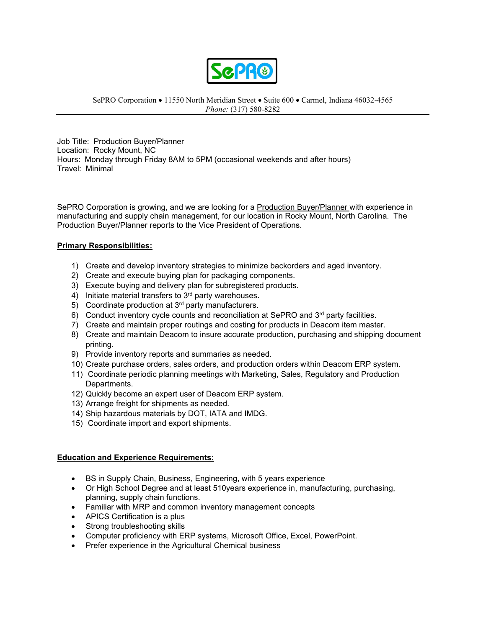

SePRO Corporation • 11550 North Meridian Street • Suite 600 • Carmel, Indiana 46032-4565 *Phone:* (317) 580-8282

Job Title: Production Buyer/Planner Location: Rocky Mount, NC Hours: Monday through Friday 8AM to 5PM (occasional weekends and after hours) Travel: Minimal

SePRO Corporation is growing, and we are looking for a Production Buyer/Planner with experience in manufacturing and supply chain management, for our location in Rocky Mount, North Carolina. The Production Buyer/Planner reports to the Vice President of Operations.

## **Primary Responsibilities:**

- 1) Create and develop inventory strategies to minimize backorders and aged inventory.
- 2) Create and execute buying plan for packaging components.
- 3) Execute buying and delivery plan for subregistered products.
- 4) Initiate material transfers to  $3<sup>rd</sup>$  party warehouses.
- 5) Coordinate production at 3rd party manufacturers.
- 6) Conduct inventory cycle counts and reconciliation at SePRO and 3<sup>rd</sup> party facilities.
- 7) Create and maintain proper routings and costing for products in Deacom item master.
- 8) Create and maintain Deacom to insure accurate production, purchasing and shipping document printing.
- 9) Provide inventory reports and summaries as needed.
- 10) Create purchase orders, sales orders, and production orders within Deacom ERP system.
- 11) Coordinate periodic planning meetings with Marketing, Sales, Regulatory and Production Departments.
- 12) Quickly become an expert user of Deacom ERP system.
- 13) Arrange freight for shipments as needed.
- 14) Ship hazardous materials by DOT, IATA and IMDG.
- 15) Coordinate import and export shipments.

## **Education and Experience Requirements:**

- BS in Supply Chain, Business, Engineering, with 5 years experience
- Or High School Degree and at least 510years experience in, manufacturing, purchasing, planning, supply chain functions.
- Familiar with MRP and common inventory management concepts
- APICS Certification is a plus
- Strong troubleshooting skills
- Computer proficiency with ERP systems, Microsoft Office, Excel, PowerPoint.
- Prefer experience in the Agricultural Chemical business